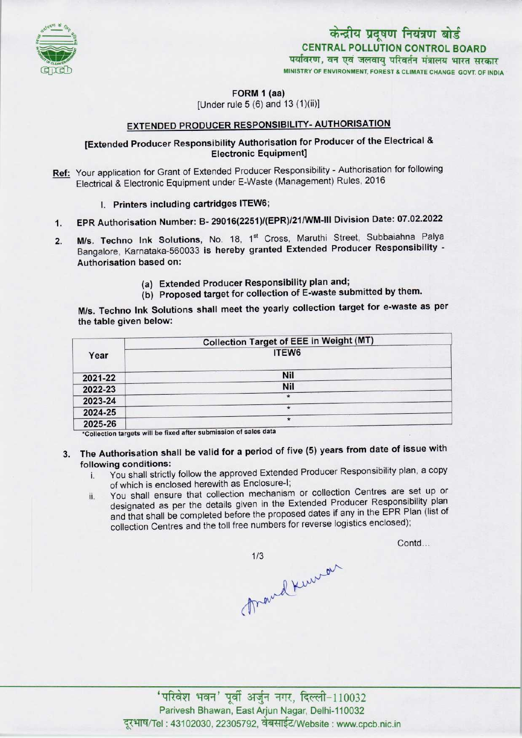

## केन्द्रीय प्रदूषण नियंत्रण बोर्ड CENTRAL POLLUTION CONTROL BOARD पर्यावरण, वन एवं जलवाय परिवर्तन मंत्रालय भारत सरकार MINISTRY OF ENVIRONMENT, FOREST & CLIMATE CHANGE GOVT. OF INDIA

FORM 1 (aa)

[Under rule  $5(6)$  and  $13(1)(ii)$ ]

## EXTENDED PRODUCER RESPONSIBILITY- AUTHORISATION

### [Extended Producer Responsibility Authorisation for Producer of the Electrical & Electronic Equipment]

- Ref: Your application for Grant of Extended Producer Responsibility Authorisation for following Electrical & Electronic Equipment under E-Waste (Management) Rules, 2016
	- I. Printers including cartridges ITEW6;
- 1.EPR Authorisation Number: B- 29016(2251)/(EPR)/21/WM-lll Division Date: 07.02.2022
- 2. EPR Authorisation Number: B- 29016(2251)/(EPR)/21/WM-III Division Date: 07.02.2022<br>2. M/s. Techno Ink Solutions, No. 18, 1<sup>st</sup> Cross, Maruthi Street, Subbaiahna Palya M/s. Techno Ink Solutions, No. 18, 1<sup>st</sup> Cross, Maruthi Street, Subbaiahna Palya<br>Bangalore, Karnataka-560033 is hereby granted Extended Producer Responsibility -Authorisation based on:
	- (a)Extended Producer Responsibility plan and;
	- (b) Proposed target for collection of E-waste submitted by them.

M/s. Techno Ink Solutions shall meet the yearly collection target for e-waste as per the table given below:

|         | <b>Collection Target of EEE in Weight (MT)</b>                                                                                                                                                                                            |
|---------|-------------------------------------------------------------------------------------------------------------------------------------------------------------------------------------------------------------------------------------------|
| Year    | ITEW6                                                                                                                                                                                                                                     |
| 2021-22 | <b>Nil</b>                                                                                                                                                                                                                                |
| 2022-23 | Nil                                                                                                                                                                                                                                       |
| 2023-24 | $\star$                                                                                                                                                                                                                                   |
| 2024-25 | $\star$                                                                                                                                                                                                                                   |
| 2025-26 | $\star$<br>the company of the company's company's company's company's company's company's company's company's company's company's company's company's company's company's company's company's company's company's company's company's com |

\*Collection targets will be fixed after submission of sales data

- 3. The Authorisation shall be valid for a period of five (5) years from date of issue with following conditions:
	- i. You shall strictly follow the approved Extended Producer Responsibility plan, <sup>a</sup> copy of which is enclosed herewith as Enclosure-I;
	- ii. You shall ensure that collection mechanism or collection Centres are set up or designated as per the details given in the Extended Producer Responsibility plan and that shall be completed before the proposed dates if any in the EPR Plan (list of collection Centres and the toll free numbers for reverse logistics enclosed);

 $A+10032$  $1/3$ 

Contd...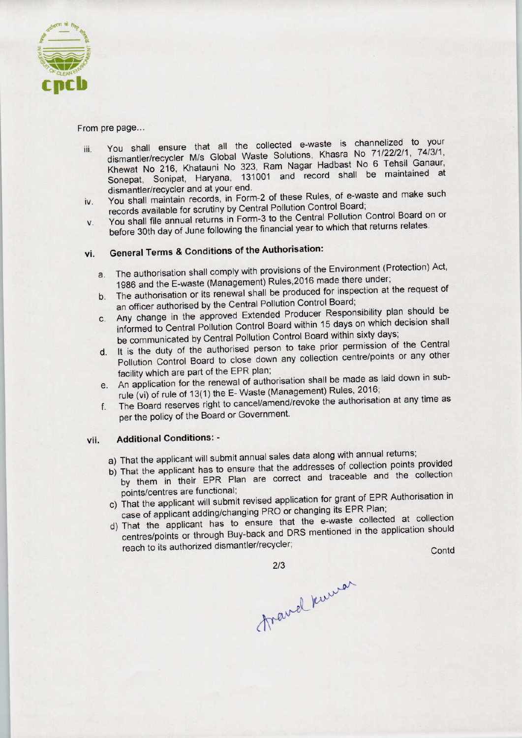

#### From pre page...

- iii. You shall ensure that all the collected e-waste is channelized to your dismantler/recycler M/s Global Waste Solutions, Khasra No 71/22/2/1, 74/3/1, Khewat No 216, Khatauni No 323, Ram Nagar Hadbast No 6 Tehsil Ganaur, Sonepat, Sonipat, Haryana, 131001 and record shall be maintained at dismantler/recycler and at your end.
- iv. You shall maintain records, in Form-2 of these Rules, of e-waste and make such records available for scrutiny by Central Pollution Control Board;
- v. You shall file annual returns in Form-3 to the Central Pollution Control Board on or before 30th day of June following the financial year to which that returns relates.

# vi. General Terms & Conditions of the Authorisation:

- a. The authorisation shall comply with provisions of the Environment (Protection) Act, 1986 and the E-waste (Management) Rules,2016 made there under;
- b.The authorisation or its renewal shall be produced for inspection at the request of an officer authorised by the Central Pollution Control Board;
- c.Any change in the approved Extended Producer Responsibility plan should be informed to Central Pollution Control Board within 15 days on which decision shall be communicated by Central Pollution Control Board within sixty days,
- d. It is the duty of the authorised person to take prior permission of the Central Pollution Control Board to close down any collection centre/points or any other facility which are part of the EPR plan;
- e.An application for the renewal of authorisation shall be made as laid down in subrule (vi) of rule of 13(1) the E- Waste (Management) Rules, 2016;
- f. The Board reserves right to cancel/amend/revoke the authorisation at any time as per the policy of the Board or Government.

#### vii. Additional Conditions: -

- a) That the applicant will submit annual sales data along with annual returns;
- b) That the applicant has to ensure that the addresses of collection points provided by them in their EPR Plan are correct and traceable and the collection points/centres are functional;
- c) That the applicant will submit revised application for grant of EPR Authorisation in case of applicant adding/changing PRO or changing its EPR Plan;
- d)That the applicant has to ensure that the e-waste collected at collection That the applicant has to ensure that the c waste concerned by the application should Fract the application and the during the system and the endead of the EPR plan;<br>an application for the renewal of authorisation shall be made the system (wi) of rule of 13(1) the E - Waste (Management) Rules, 2<br>he Board r le and the collection<br>of EPR Authorisation in<br>R Plan;<br>collected at collection<br>the application should<br>Conte

2/3<br>fravel kurrer